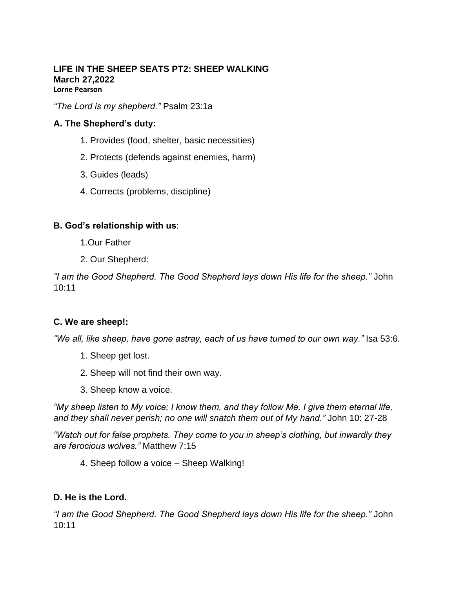#### **LIFE IN THE SHEEP SEATS PT2: SHEEP WALKING March 27,2022 Lorne Pearson**

*"The Lord is my shepherd."* Psalm 23:1a

### **A. The Shepherd's duty:**

- 1. Provides (food, shelter, basic necessities)
- 2. Protects (defends against enemies, harm)
- 3. Guides (leads)
- 4. Corrects (problems, discipline)

#### **B. God's relationship with us**:

1.Our Father

2. Our Shepherd:

*"I am the Good Shepherd. The Good Shepherd lays down His life for the sheep."* John 10:11

# **C. We are sheep!:**

*"We all, like sheep, have gone astray, each of us have turned to our own way."* Isa 53:6.

- 1. Sheep get lost.
- 2. Sheep will not find their own way.
- 3. Sheep know a voice.

*"My sheep listen to My voice; I know them, and they follow Me. I give them eternal life, and they shall never perish; no one will snatch them out of My hand."* John 10: 27-28

*"Watch out for false prophets. They come to you in sheep's clothing, but inwardly they are ferocious wolves."* Matthew 7:15

4. Sheep follow a voice – Sheep Walking!

# **D. He is the Lord.**

*"I am the Good Shepherd. The Good Shepherd lays down His life for the sheep."* John 10:11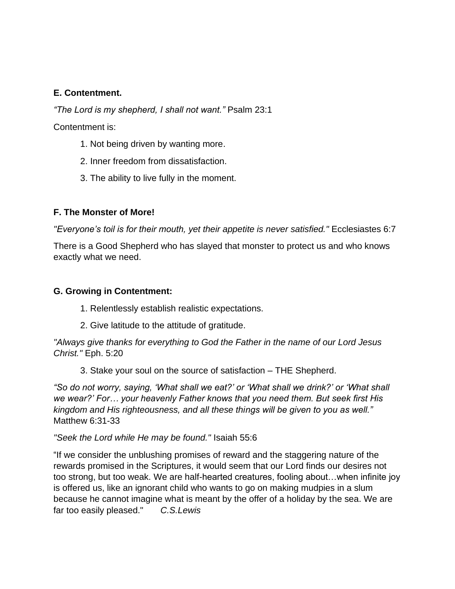## **E. Contentment.**

*"The Lord is my shepherd, I shall not want."* Psalm 23:1

Contentment is:

- 1. Not being driven by wanting more.
- 2. Inner freedom from dissatisfaction.
- 3. The ability to live fully in the moment.

## **F. The Monster of More!**

*"Everyone's toil is for their mouth, yet their appetite is never satisfied."* Ecclesiastes 6:7

There is a Good Shepherd who has slayed that monster to protect us and who knows exactly what we need.

### **G. Growing in Contentment:**

- 1. Relentlessly establish realistic expectations.
- 2. Give latitude to the attitude of gratitude.

*"Always give thanks for everything to God the Father in the name of our Lord Jesus Christ."* Eph. 5:20

3. Stake your soul on the source of satisfaction – THE Shepherd.

*"So do not worry, saying, 'What shall we eat?' or 'What shall we drink?' or 'What shall we wear?' For… your heavenly Father knows that you need them. But seek first His kingdom and His righteousness, and all these things will be given to you as well."* Matthew 6:31-33

*"Seek the Lord while He may be found."* Isaiah 55:6

"If we consider the unblushing promises of reward and the staggering nature of the rewards promised in the Scriptures, it would seem that our Lord finds our desires not too strong, but too weak. We are half-hearted creatures, fooling about…when infinite joy is offered us, like an ignorant child who wants to go on making mudpies in a slum because he cannot imagine what is meant by the offer of a holiday by the sea. We are far too easily pleased." *C.S.Lewis*